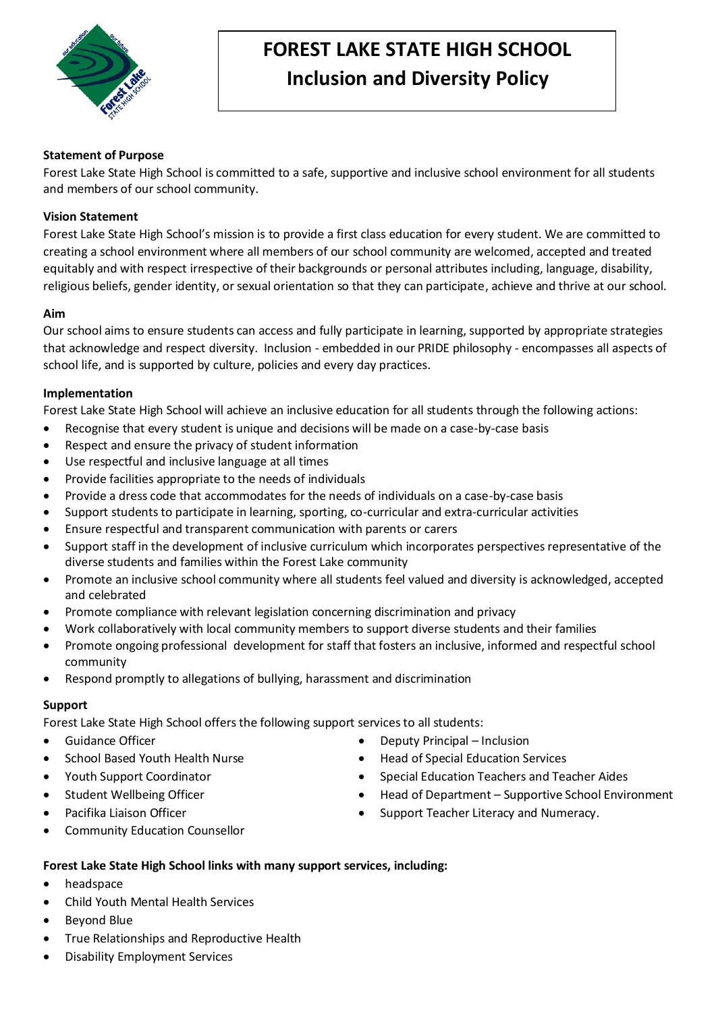

# **FOREST LAKE STATE HIGH SCHOOL Inclusion and Diversity Policy**

# **Statement of Purpose**

Forest Lake State High School is committed to a safe, supportive and inclusive school environment for all students and members of our school community.

# **Vision Statement**

Forest Lake State High School's mission is to provide a first class education for every student. We are committed to creating a school environment where all members of our school community are welcomed, accepted and treated equitably and with respect irrespective of their backgrounds or personal attributes including, language, disability, religious beliefs, gender identity, or sexual orientation so that they can participate, achieve and thrive at our school.

## **Aim**

Our school aims to ensure students can access and fully participate in learning, supported by appropriate strategies that acknowledge and respect diversity. Inclusion - embedded in our PRIDE philosophy - encompasses all aspects of school life, and is supported by culture, policies and every day practices.

# **Implementation**

Forest Lake State High School will achieve an inclusive education for all students through the following actions:

- Recognise that every student is unique and decisions will be made on a case-by-case basis
- Respect and ensure the privacy of student information
- Use respectful and inclusive language at all times
- Provide facilities appropriate to the needs of individuals
- Provide a dress code that accommodates for the needs of individuals on a case-by-case basis
- Support students to participate in learning, sporting, co-curricular and extra-curricular activities
- Ensure respectful and transparent communication with parents or carers
- Support staff in the development of inclusive curriculum which incorporates perspectives representative of the diverse students and families within the Forest Lake community
- Promote an inclusive school community where all students feel valued and diversity is acknowledged, accepted and celebrated
- Promote compliance with relevant legislation concerning discrimination and privacy
- Work collaboratively with local community members to support diverse students and their families
- Promote ongoing professional development for staff that fosters an inclusive, informed and respectful school community
- Respond promptly to allegations of bullying, harassment and discrimination

## **Support**

Forest Lake State High School offers the following support services to all students:

- Guidance Officer
- School Based Youth Health Nurse
- Youth Support Coordinator
- Student Wellbeing Officer
- Pacifika Liaison Officer
- Community Education Counsellor
- - Deputy Principal Inclusion
	- Head of Special Education Services
	- Special Education Teachers and Teacher Aides
	- Head of Department Supportive School Environment
	- Support Teacher Literacy and Numeracy.
- **Forest Lake State High School links with many support services, including:**
- headspace
- Child Youth Mental Health Services
- Beyond Blue
- True Relationships and Reproductive Health
- Disability Employment Services